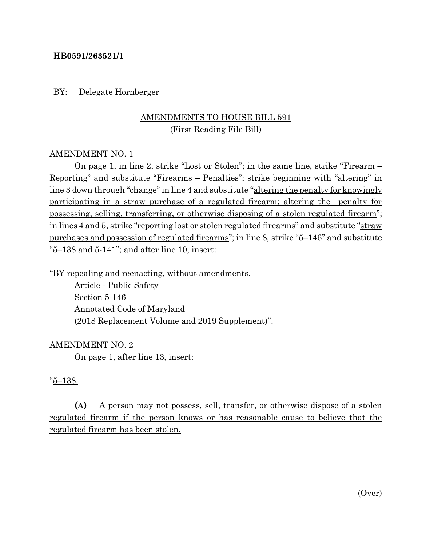#### **HB0591/263521/1**

BY: Delegate Hornberger

## AMENDMENTS TO HOUSE BILL 591 (First Reading File Bill)

#### AMENDMENT NO. 1

On page 1, in line 2, strike "Lost or Stolen"; in the same line, strike "Firearm – Reporting" and substitute "Firearms – Penalties"; strike beginning with "altering" in line 3 down through "change" in line 4 and substitute "altering the penalty for knowingly participating in a straw purchase of a regulated firearm; altering the penalty for possessing, selling, transferring, or otherwise disposing of a stolen regulated firearm"; in lines 4 and 5, strike "reporting lost or stolen regulated firearms" and substitute "straw purchases and possession of regulated firearms"; in line 8, strike "5–146" and substitute  $\frac{5-138}{5}$  and  $\frac{5-141}{5}$ ; and after line 10, insert:

"BY repealing and reenacting, without amendments,

Article - Public Safety Section 5-146 Annotated Code of Maryland (2018 Replacement Volume and 2019 Supplement)".

#### AMENDMENT NO. 2

On page 1, after line 13, insert:

#### "5–138.

**(A)** A person may not possess, sell, transfer, or otherwise dispose of a stolen regulated firearm if the person knows or has reasonable cause to believe that the regulated firearm has been stolen.